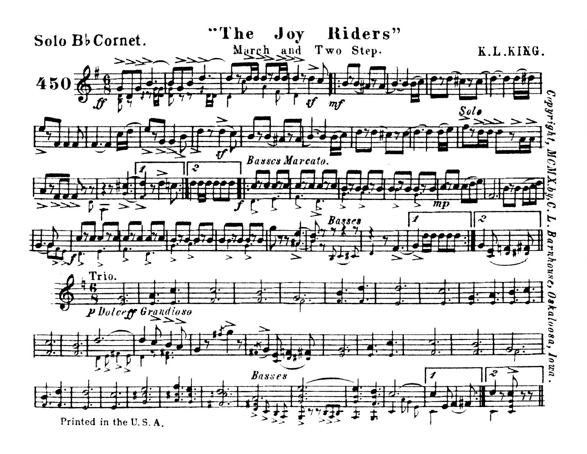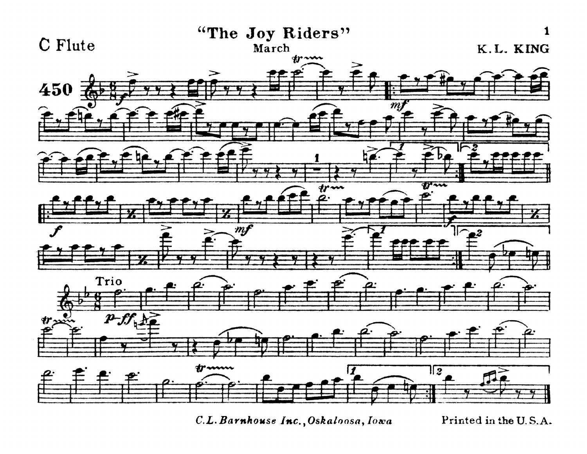

*C.L. Barnhouse Inc., Oskaloosa, Iowa* Printed in the U.S.A.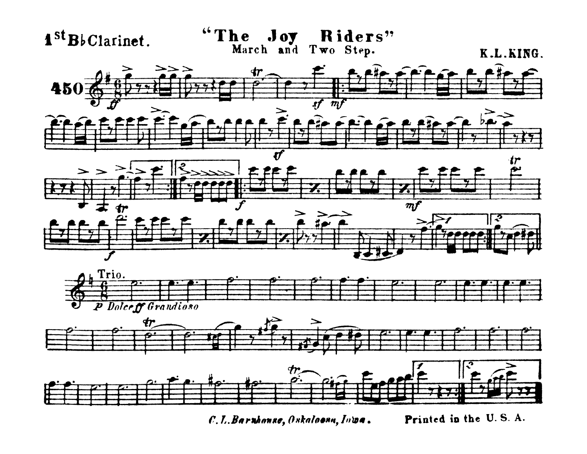

Printed in the U.S.A. C. L. Barnhonse, Oskaloona, Inwa.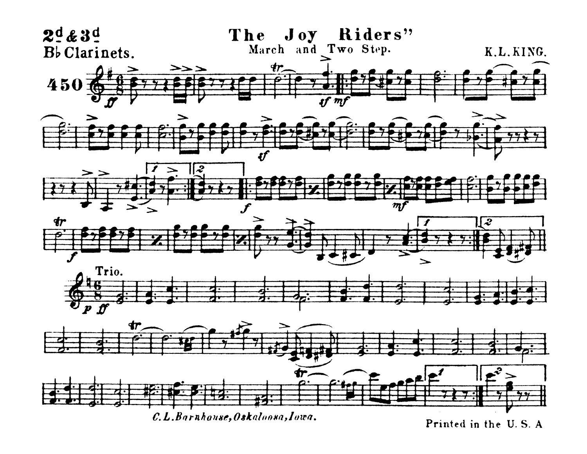

Printed in the U.S. A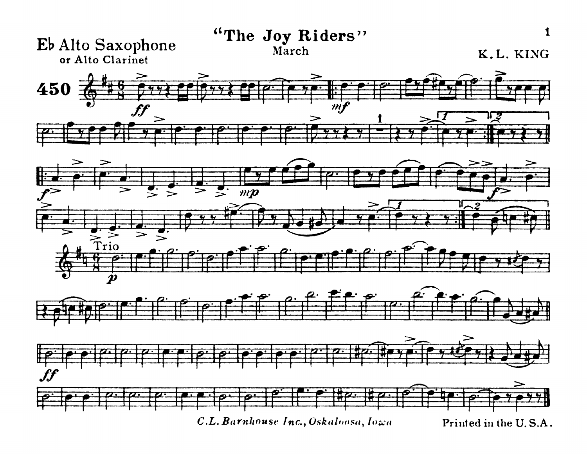

C.L. Barnhouse Inc., Oskaloosa, Iowa

Printed in the U.S.A.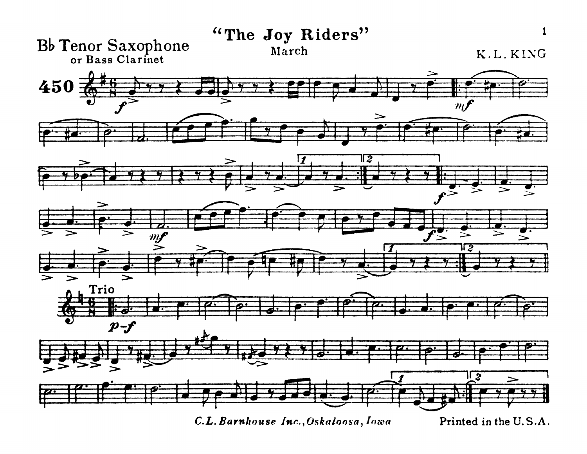

C.L. Barnhouse Inc., Oskaloosa, Iowa

Printed in the U.S.A.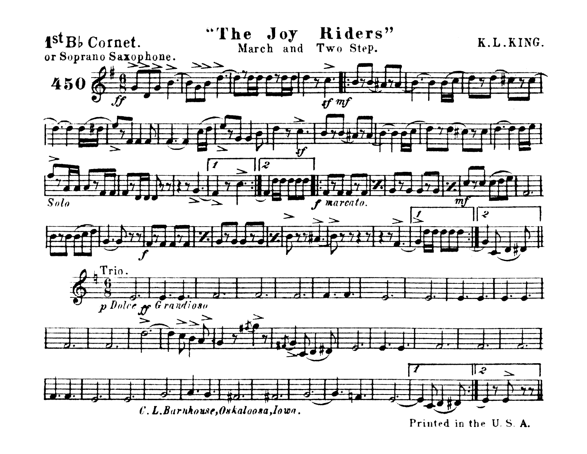

Printed in the U.S.A.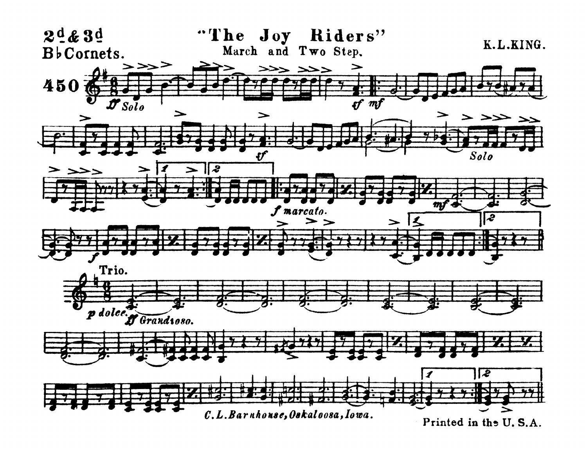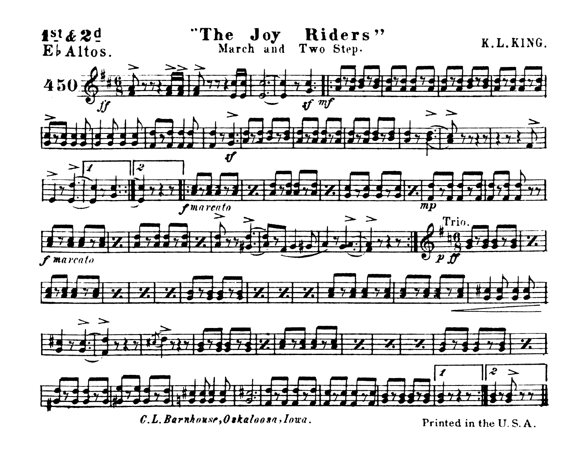

Printed in the U.S.A.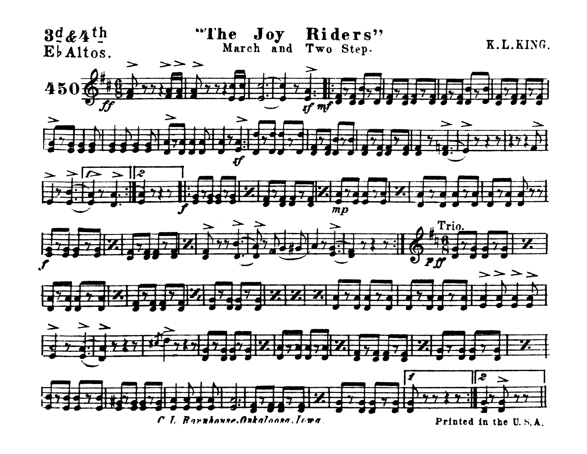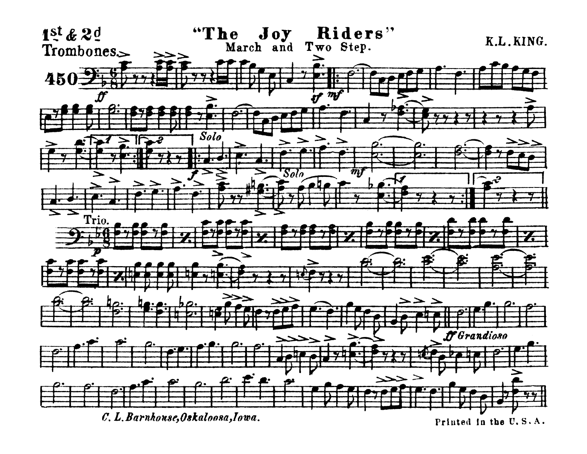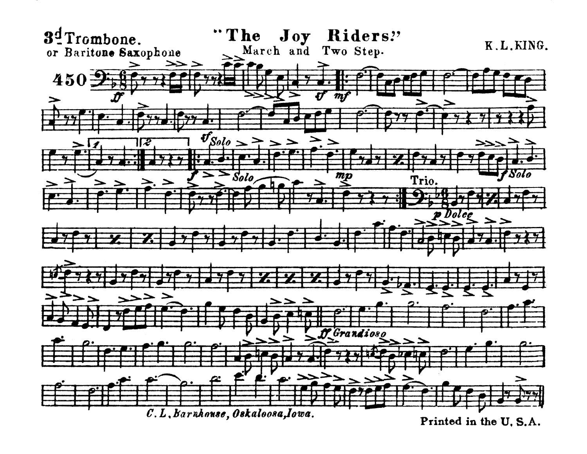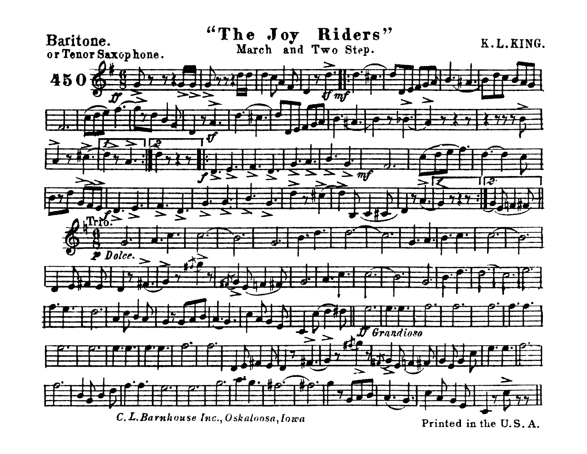

Printed in the U.S.A.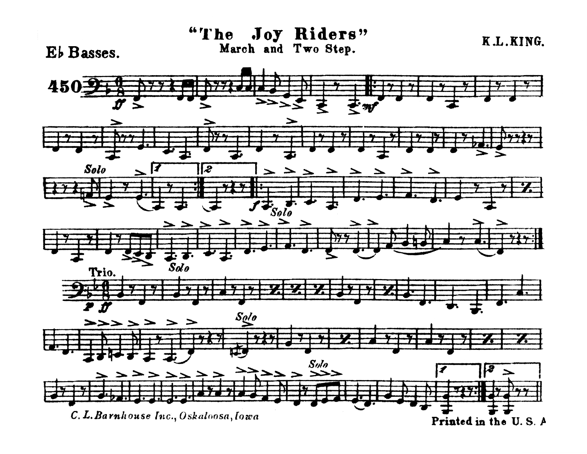